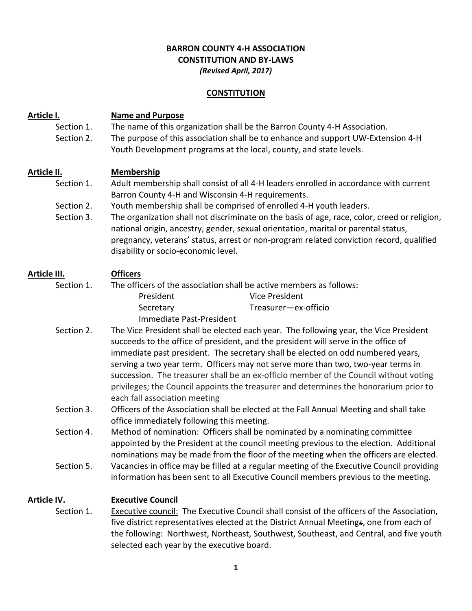## **BARRON COUNTY 4-H ASSOCIATION CONSTITUTION AND BY-LAWS** *(Revised April, 2017)*

#### **CONSTITUTION**

## **Article I. Name and Purpose**

Section 1. The name of this organization shall be the Barron County 4-H Association. Section 2. The purpose of this association shall be to enhance and support UW-Extension 4-H Youth Development programs at the local, county, and state levels.

#### **Article II. Membership**

- Section 1. Adult membership shall consist of all 4-H leaders enrolled in accordance with current Barron County 4-H and Wisconsin 4-H requirements.
- Section 2. Youth membership shall be comprised of enrolled 4-H youth leaders.
- Section 3. The organization shall not discriminate on the basis of age, race, color, creed or religion, national origin, ancestry, gender, sexual orientation, marital or parental status, pregnancy, veterans' status, arrest or non-program related conviction record, qualified disability or socio-economic level.

# **Article III. Officers**

- Section 1. The officers of the association shall be active members as follows: President Vice President Secretary Treasurer—ex-officio Immediate Past-President
- Section 2. The Vice President shall be elected each year. The following year, the Vice President succeeds to the office of president, and the president will serve in the office of immediate past president. The secretary shall be elected on odd numbered years, serving a two year term. Officers may not serve more than two, two-year terms in succession. The treasurer shall be an ex-officio member of the Council without voting privileges; the Council appoints the treasurer and determines the honorarium prior to each fall association meeting
- Section 3. Officers of the Association shall be elected at the Fall Annual Meeting and shall take office immediately following this meeting.

Section 4. Method of nomination: Officers shall be nominated by a nominating committee appointed by the President at the council meeting previous to the election. Additional nominations may be made from the floor of the meeting when the officers are elected. Section 5. Vacancies in office may be filled at a regular meeting of the Executive Council providing

information has been sent to all Executive Council members previous to the meeting.

#### **Article IV. Executive Council**

Section 1. Executive council: The Executive Council shall consist of the officers of the Association, five district representatives elected at the District Annual Meetings, one from each of the following: Northwest, Northeast, Southwest, Southeast, and Central, and five youth selected each year by the executive board.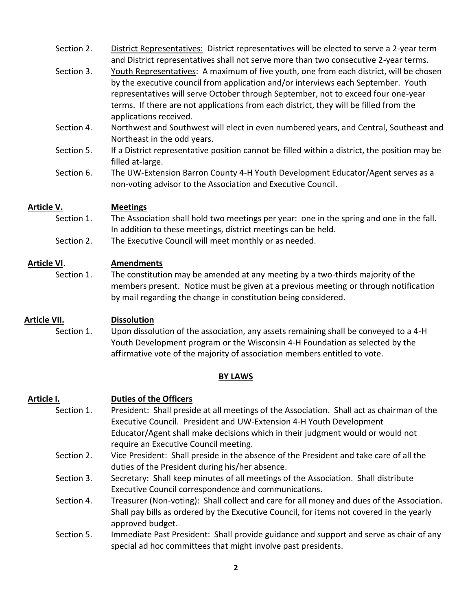- Section 2. District Representatives: District representatives will be elected to serve a 2-year term and District representatives shall not serve more than two consecutive 2-year terms.
- Section 3. Youth Representatives: A maximum of five youth, one from each district, will be chosen by the executive council from application and/or interviews each September. Youth representatives will serve October through September, not to exceed four one-year terms. If there are not applications from each district, they will be filled from the applications received.
- Section 4. Northwest and Southwest will elect in even numbered years, and Central, Southeast and Northeast in the odd years.
- Section 5. If a District representative position cannot be filled within a district, the position may be filled at-large.
- Section 6. The UW-Extension Barron County 4-H Youth Development Educator/Agent serves as a non-voting advisor to the Association and Executive Council.

## **Article V. Meetings**

- Section 1. The Association shall hold two meetings per year: one in the spring and one in the fall. In addition to these meetings, district meetings can be held.
- Section 2. The Executive Council will meet monthly or as needed.

## **Article VI**. **Amendments**

Section 1. The constitution may be amended at any meeting by a two-thirds majority of the members present. Notice must be given at a previous meeting or through notification by mail regarding the change in constitution being considered.

# **Article VII. Dissolution**

Section 1. Upon dissolution of the association, any assets remaining shall be conveyed to a 4-H Youth Development program or the Wisconsin 4-H Foundation as selected by the affirmative vote of the majority of association members entitled to vote.

#### **BY LAWS**

# **Article I. Duties of the Officers**

- Section 1. President: Shall preside at all meetings of the Association. Shall act as chairman of the Executive Council. President and UW-Extension 4-H Youth Development Educator/Agent shall make decisions which in their judgment would or would not require an Executive Council meeting.
- Section 2. Vice President: Shall preside in the absence of the President and take care of all the duties of the President during his/her absence.
- Section 3. Secretary: Shall keep minutes of all meetings of the Association. Shall distribute Executive Council correspondence and communications.
- Section 4. Treasurer (Non-voting): Shall collect and care for all money and dues of the Association. Shall pay bills as ordered by the Executive Council, for items not covered in the yearly approved budget.
- Section 5. Immediate Past President: Shall provide guidance and support and serve as chair of any special ad hoc committees that might involve past presidents.